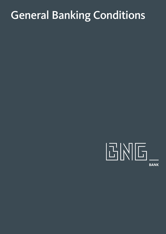# General Banking Conditions

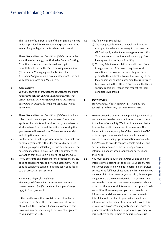# General Banking Conditions

 This is an unofficial translation of the original Dutch text which is provided for convenience purposes only. In the event of any ambiguity, the Dutch text will prevail.

 These General Banking Conditions (GBC) are, with the exception of Article 37, identical to he General Banking Concitions 2017 which have been drawn up in consultation between the Dutch Banking Association (Nederlandse Vereniging van Banken) and the Consumers' organisation (Consumentenbond). The GBC will enter into force on 2 March 2017.

# **1 Applicability**

 *The GBC apply to all products and services and the entire relationship between you and us. Rules that apply to a specific product or service can be found in the relevant agreement or the specific conditions applicable to that agreement.*

- 1.1 These General Banking Conditions (GBC) contain basic rules to which we and you must adhere. These rules apply to all products and services that you purchase or shall purchase from us and the entire relationship that you have or will have with us. This concerns your rights and obligations and ours.
- 1.2 For the services that we provide, you shall enter into one or more agreements with us for services (i.e services including also products) that you purchase from us. If an agreement contains a provision that is contrary to the GBC, then that provision will prevail above the GBC.
- 1.3 If you enter into an agreement for a product or service, specific conditions may apply to the agreement. These specific conditions contain rules that apply specifically to that product or that service.

# *An example of specific conditions:*

 *You may possibly enter into an agreement to open a current account. Specific conditions for payments may apply to that agreement.*

 If the specific conditions contain a provision that is contrary to the GBC, then that provision will prevail above the GBC. However, if you are a consumer, that provision may not reduce rights or protection granted to you under the GBC.

1.4 The following also applies:

- a) You may possibly also use general conditions (for example, if you have a business). In that case, the GBC will apply and not your own general conditions. Your own general conditions will only apply if we have agreed that with you in writing.
- b) You may (also) have a relationship with one of our foreign branches. This branch may have local conditions, for example, because they are better geared to the applicable laws in that country. If these local conditions contain a provision that is contrary to a provision in the GBC or a provision in the Dutch specific conditions, then in that respect the local conditions will prevail.

#### **2 Duty of Care**

*We have a duty of care. You must act with due care towards us and you may not misuse our services.*

- 2.1 We must exercise due care when providing our services and we must thereby take your interests into account to the best of our ability. We do so in a manner that is in accordance with the nature of the services. This important rule always applies. Other rules in the GBC or in the agreements related to products or services and the corresponding special conditions cannot alter this. We aim to provide comprehensible products and services. We also aim to provide comprehensible information about these products and services and their risks.
- 2.2 You must exercise due care towards us and take our interests into account to the best of your ability. You must cooperate in allowing us to perform our services correctly and fulfil our obligations. By this, we mean not only our obligations towards you but also, for example, obligations that, in connection with the services that we provide to you, we have towards supervisory bodies or tax or other (national, international or supranational) authorities. If we so request, you must provide the information and documentation that we require for this. If it should be clear to you that we need this information or documentation, you shall provide this of your own accord. You may only use our services or products for their intended purposes and you may not misuse them or cause them to be misused. Misuse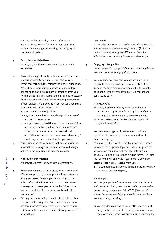constitutes, for example, criminal offences or activities that are harmful to us or our reputation or that could damage the working and integrity of the financial system.

# **3 Activities and objectives**

 *We ask you for information to prevent misuse and to assess risks.*

- 3.1 Banks play a key role in the national and international financial system. Unfortunately, our services are sometimes misused, for instance for money laundering. We wish to prevent misuse and we also have a legal obligation to do so. We require information from you for this purpose. This information may also be necessary for the assessment of our risks or the proper execution of our services. This is why, upon our request, you must provide us with information about:
	- a) your activities and objectives
	- b) why you are purchasing or wish to purchase one of our products or services
	- c) how you have acquired the funds, documents of title or other assets that you have deposited with us or through us. You must also provide us with all information we need to determine in which country/ countries you are a resident for tax purposes.
- 3.2 You must cooperate with us so that we can verify the information. In using this information, we will always adhere to the applicable privacy regulations.

#### **4 Non-public information**

*We are not required to use non-public information.*

- 4.1 When providing you with services, we can make use of information that you have provided to us. We may also make use of, for example, public information. Public information is information that can be known to everyone, for example, because this information has been published in newspapers or is available on the internet.
- 4.2 We may have information outside of our relationship with you that is not public. You cannot require us to use this information when providing services to you. This information could be confidential or price-sensitive information.

*An example:*

 *It is possible that we possess confidential information that a listed company is experiencing financial difficulties or that it is doing extremely well. We may not use this information when providing investment advice to you.*

#### **5 Engaging third parties**

*We are allowed to engage third parties. We are required to take due care when engaging third parties.* 

5.1 In connection with our services, we are allowed to engage third parties and outsource activities. If we do so in the execution of an agreement with you, this does not alter the fact that we are your contact and contracting party.

#### *A few examples:*

- *a) Assets, documents of title, securities or financial instruments may be given in custody to a third party. We may do so in your name or in our own name.*
- *b) Other parties are also involved in the execution of payment transactions.*

 We can also engage third parties in our business operations to, for example, enable our systems to function properly.

- 5.2 You may possibly provide us with a power of attorney for one or more specific legal acts. With this power of attorney, we can execute these legal acts on your behalf. Such legal acts are then binding for you. At least the following will apply with regard to any powers of attorney that we may receive from you:
	- a) If a counterparty is involved in the execution, we may also act as the counterparty.

#### *For example:*

 *We have your power of attorney to pledge credit balances and other assets that you have entrusted to us to ourselves (see Article 24 paragraph 1 of the GBC). If we use this power of attorney, we pledge your credit balances with us to ourselves on your behalf.*

b) We may also grant the power of attorney to a third party. In that case, this third party may make use of the power of attorney. We are careful in choosing the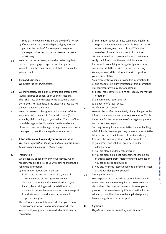third party to whom we grant the power of attorney.

- c) If our business is continued (partially) by another party as the result of, for example, a merger or demerger, this other party may also use the power of attorney.
- 5.3 We exercise the necessary care when selecting third parties. If you engage or appoint another party yourself, then the consequences of that choice are for your account.

# **6 Risk of dispatches**

 *Who bears the risk of dispatches?*

- 6.1 We may possibly send money or financial instruments (such as shares or bonds) upon your instructions. The risk of loss of or damage to the dispatch is then borne by us. For example, if the dispatch is lost, we will reimburse you for the value.
- 6.2 We may also send other goods or documents of title, such as proof of ownership for certain goods (for example, a bill of lading), on your behalf. The risk of loss of and damage to the dispatch is then borne by you. However, if we cause damage through carelessness with the dispatch, then that damage is for our account.
- **7 Information about you and your representative**   *We require information about you and your representative. You are required to notify us of any changes.*
- 7.1 Information

 We are legally obliged to verify your identity. Upon request, you are to provide us with, among others, the following information:

a) Information about natural persons

- i. first and last names, date of birth, place of residence and citizen's (service) number. You must cooperate with the verification of your identity by providing us with a valid identity document that we deem suitable, such as a passport. ii. civil status and matrimonial or partnership
- property regime.

 This information may determine whether you require mutual consent for certain transactions or whether you possess joint property from which claims may be recoverable.

b) Information about business customers legal form, registration number with the Trade Register and/or other registers, registered office, VAT number, overview of ownership and control structure.

 You are required to cooperate with us so that we can verify the information. We use this information for, for example, complying with legal obligations or in connection with the services that we provide to you. We may also need this information with regard to your representative.

 Your representative must provide this information to us and cooperate in our verification of this information. This representative may be, for example:

- a) a legal representative of a minor (usually the mother or father)
- b) an authorised representative
- c) a director of a legal entity.
- 7.2 Notification of changes

 We must be notified immediately of any changes to the information about you and your representative. This is important for the performance of our legal obligations and our services to you.

 You may not require a representative for your banking affairs initially; however, you may require a representative later on. We must be informed of this immediately. Consider the following situations, for example:

- a) your assets and liabilities are placed under administration
- b) you are placed under legal constraint
- c) you are placed in a debt management scheme, are granted a (temporary) moratorium of payments or you are declared bankrupt, or
- d) you are, for some reason, unable to perform all legal acts (unchallengeable) yourself.
- 7.3 Storing information

 We are permitted to record and store information. In some cases, we are even required to do so. We may also make copies of any documents, for example, a passport, that serve to verify this information for our administration. We adhere to the applicable privacy laws and regulations in this respect.

**8 Signature**

 *Why do we require an example of your signature?*

 $\overline{3}$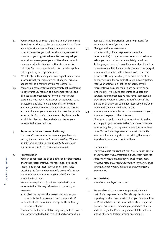- 8.1 You may have to use your signature to provide consent for orders or other acts that you execute with us. There are written signatures and electronic signatures. In order to recognise your written signature, we need to know what your signature looks like. We may ask you to provide an example of your written signature and we may provide further instructions in connection with this. You must comply with this. This also applies with regard to your representative.
- 8.2 We will rely on the example of your signature until you inform us that your signature has changed. This also applies for the signature of your representative.
- 8.3 You or your representative may possibly act in different roles towards us. You can be a customer yourself and also act as a representative for one or more other customers. You may have a current account with us as a customer and also hold a power of attorney from another customer to make payments from his current account. If you or your representative provides us with an example of your signature in one role, this example is valid for all other roles in which you deal or your representative deals with us.

#### **9 Representation and power of attorney**

 *You can authorise someone to represent you; however, we may impose rules on such an authorisation. We must be notified of any changes immediately. You and your representative must keep each other informed.*

#### 9.1 Representation

 You can be represented by an authorised representative or another representative. We may impose rules and restrictions on representation. For instance, rules regarding the form and content of a power of attorney. If your representative acts on your behalf, you are bound by these acts.

 We are not required to (continue to) deal with your representative. We may refuse to do so, due to, for example:

- a) an objection against the person who acts as your representative (for example, due to misconduct)
- b) doubts about the validity or scope of the authority to represent you.

 Your authorised representative may not grant the power of attorney granted to him to a third party, without our

approval. This is important in order to prevent, for example, misuse of your account.

9.2 Changes in the representation

 If the authority of your representative (or his representative) changes or does not exist or no longer exists, you must inform us immediately in writing. As long as you have not provided any such notification, we may assume that the authority continues unchanged. You may not assume that we have learned that the power of attorney has changed or does not exist or no longer exists, for example, through public registers. After your notification that the authority of your representative has changed or does not exist or no longer exists, we require some time to update our services. Your representative may have submitted an order shortly before or after this notification. If the execution of this order could not reasonably have been prevented, then you are bound by this.

9.3 Your representative adheres to the same rules as you. You must keep each other informed.

> All rules that apply to you in your relationship with us also apply to your representative. You are responsible for ensuring that your representative adheres to these rules. You and your representative must constantly inform each other fully about everything that may be important in your relationship with us.

#### *For example:*

 *Your representative has a bank card that he or she can use on your behalf. This representative must comply with the same security regulations that you must comply with. When we make these regulations known to you, you must communicate these regulations to your representative immediately.*

#### **10 Personal data**

 *How do we handle personal data?*

10.1 We are allowed to process your personal data and that of your representative. This also applies to data regarding products and services that you purchase from us. Personal data provide information about a specific person. This includes, for example, your date of birth, address or gender. Processing personal data includes, among others, collecting, storing and using it.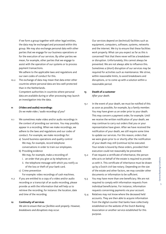If we form a group together with other legal entities, the data may be exchanged and processed within this group. We may also exchange personal data with other parties that we engage for our business operations or for the execution of our services. By other parties we mean, for example, other parties that we engage to assist with the operation of our systems or to process payment transactions.

 We adhere to the applicable laws and regulations and our own codes of conduct for this.

10.2 The exchange of data may mean that data enter other countries where personal data are less well-protected than in the Netherlands.

> Competent authorities in countries where personal data are available during or after processing may launch an investigation into the data.

#### **11 (Video and audio) recordings**

 *Do we make video / audio recordings of you?*

- 11.1 We sometimes make video and/or audio recordings in the context of providing our services. You may possibly appear in a recording. When we make recordings, we adhere to the laws and regulations and our codes of conduct. For example, we make recordings for:
	- a) Sound business operations and quality control We may, for example, record telephone conversations in order to train our employees.
	- b) Providing evidence We may, for example, make a recording of:
		- i. an order that you give us by telephone; or
		- ii. the telephone message with which you notify us of the loss or theft of your bank card.
	- c) Crime prevention

For example: video recordings of cash machines.

11.2 If you are entitled to a copy of a video and/or audio recording or a transcript of an audio recording, please provide us with the information that will help us to retrieve the recording, for instance: the location, date and time of the recording.

# **12 Continuity of services**

*We aim to ensure that our facilities work properly. However, breakdowns and disruptions may occur.* 

 Our services depend on (technical) facilities such as equipment, computers, software, systems, networks and the internet. We try to ensure that these facilities work properly. What can you expect as far as this is concerned? Not that there never will be a breakdown or disruption. Unfortunately, this cannot always be prevented. We are not always able to influence this. Sometimes a (short) disruption of our services may be required for activities such as maintenance. We strive, within reasonable limits, to avoid breakdowns and disruptions, or to come up with a solution within a reasonable period.

# **13 Death of a customer**   *After your death.*

13.1 In the event of your death, we must be notified of this as soon as possible, for example, by a family member. You may have given us an order prior to your death. This may concern a payment order, for example. Until we receive the written notification of your death, we may continue to carry out orders that you or your representative have given. After we have received the notification of your death, we still require some time to update our services. For this reason, orders that we were given prior to or shortly after the notification of your death may still (continue to) be executed. Your estate is bound by these orders, provided their execution could not reasonably be prevented.

13.2 If we request a certificate of inheritance, the person who acts on behalf of the estate is required to provide us with it. This certificate of inheritance must be drawn up by a Dutch civil-law notary. Depending on the size of the estate and other factors, we may consider other documents or information to be sufficient.

- 13.3 You may have more than one beneficiary. We are not required to comply with information requests from individual beneficiaries. For instance, information requests concerning payments via your account.
- 13.4 Relatives may not know where the deceased held accounts. They are then able to acquire information from the digital counter that banks have collectively established on the website of the Dutch Banking Association or another service established for this purpose.

 $\overline{\phantom{0}}$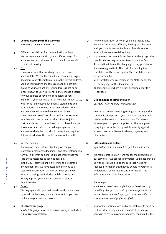# **14 Communicating with the customer**

 *How do we communicate with you?*

- 14.1 Different possibilities for communicating with you We can communicate with you in different ways. For instance, we can make use of post, telephone, e-mail or internet banking.
- 14.2 Post

 You must ensure that we always have the correct address data. We can then send statements, messages, documents and other information to the correct address. Send us your change of address as soon as possible. If, due to your own actions, your address is not or no longer known to us, we are entitled to conduct a search for your address or have one conducted, at your expense. If your address is not or no longer known to us, we are entitled to leave documents, statements and other information for you at our own address. These are then deemed to have been received by you. You may make use of one of our products or services together with one or several others. Post for joint customers is sent to the address that has been indicated. If joint customers do not or no longer agree on the address to which the post should be sent, we may then determine which of their addresses we will send the post to.

# 14.3 Internet banking

 If you make use of internet banking, we can place statements, messages, documents and other information for you in internet banking. You must ensure that you read those messages as soon as possible.

 In the GBC, internet banking refers to the electronic environment that we have established for you as a secure communication channel between you and us. Internet banking also includes mobile banking and (other) apps for your banking services or similar functionalities.

# 14.4 E-mail

 We may agree with you that we will send you messages by e-mail. In that case, you must ensure that you read such message as soon as possible.

# **15 The Dutch language**

 *In which language do we communicate with you and when is a translation necessary?*

- 15.1 The communication between you and us takes place in Dutch. This can be different, if we agree otherwise with you on this matter. English is often chosen for international commercial banking.
- 15.2 If you have a document for us that is in a language other than Dutch, we may require a translation into Dutch. A translation into another language is only permissible if we have agreed to it. The cost of producing the translation will be borne by you. The translation must be performed by:
	- a) a translator who is certified in the Netherlands for the language of the document, or
	- b) someone else whom we consider suitable for this purpose.

# **16 Use of means of communication**

 *Care and security during communication.*

 In order to prevent anything from going wrong in the communication process, you should be cautious and careful with means of communication. This means, for example, that your computer or other equipment is equipped with the best possible security against viruses, harmful software (malware, spyware) and other misuse.

# **17 Information and orders**

 *Information that we require from you for our services.*

17.1 We require information from you for the execution of our services. If we ask for information, you must provide us with it. It could also be the case that we do not request information but that you should nevertheless understand that we require this information. This information must also be provided.

# *For example:*

 *You have an investment profile for your investments. If something changes as a result of which the financial risks become less acceptable for you, you must take action to have your investment profile modified.*

17.2 Your orders, notifications and other statements must be on time, clear, complete and accurate. For example, if you wish to have a payment executed, you must list the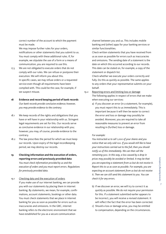correct number of the account to which the payment must be made.

 We may impose further rules for your orders, notifications or other statements that you submit to us. You must comply with these additional rules. If, for example, we stipulate the use of a form or a means of communication, you are required to use this.

- 17.3 We are not obligated to execute orders that do not comply with our rules. We can refuse or postpone their execution. We will inform you about this. In specific cases, we may refuse orders or a requested service even though all requirements have been complied with. This could be the case, for example, if we suspect misuse.
- **18 Evidence and record keeping period of bank records**  *Our bank records provide conclusive evidence; however, you may provide evidence to the contrary.*
- 18.1 We keep records of the rights and obligations that you have or will have in your relationship with us. Stringent legal requirements are set for this. Our records serve as conclusive evidence in our relationship with you; however, you may, of course, provide evidence to the contrary.
- 18.2 The law prescribes the period for which we must keep our records. Upon expiry of the legal recordkeeping period, we may destroy our records.
- **19 Checking information and the execution of orders, reporting errors and previously provided data**   *You must check information provided by us and the execution of orders and you must report errors. Regulations for previously provided data.*
- 19.1 Checking data and the execution of orders If you make use of our internet banking, we can provide you with our statements by placing them in internet banking. By statements, we mean, for example, confirmations, account statements, bookings or other data. You must check statements that we place in internet banking for you as soon as possible for errors such as inaccuracies and omissions. In the GBC, internet banking refers to the electronic environment that we have established for you as a secure communication

channel between you and us. This includes mobile banking and (other) apps for your banking services or similar functionalities.

 Check written statements that you have received from us as soon as possible for errors such as inaccuracies and omissions. The sending date of a statement is the date on which this occurred according to our records. This date can be stated on, for example, a copy of the statement or dispatch list.

 Check whether we execute your orders correctly and fully. Do this as quickly as possible. The same applies to any orders that your representative submits on your behalf.

- 19.2 Reporting errors and limiting loss or damage The following applies in respect of errors that we make when executing our services:
	- a) If you discover an error (in a statement, for example), you must report this to us immediately. This is important because it will then be easier to correct the error and loss or damage may possibly be avoided. Moreover, you are required to take all reasonable measures to prevent an error from resulting in (further) loss or damage.

# *For example:*

 *You instructed us to sell 1,000 of your shares and you notice that we only sold 100. If you would still like to have your instructions carried out to the full, then you should notify us of this immediately. We can then sell the remaining 900. In this way, a loss caused by a drop in prices may possibly be avoided or limited. It may be that you are expecting a statement from us but do not receive it. Report this to us as soon as possible. For example, you are expecting an account statement from us but do not receive it. Then we can still send this statement to you. You can check it for any errors.*

- b) If we discover an error, we will try to correct it as quickly as possible. We do not require your permission for this. If a statement submitted earlier appears to be incorrect, you will receive a revised statement. It will reflect the fact that the error has been corrected.
- c) Should a loss or damage arise, you may be entitled to compensation, depending on the circumstances.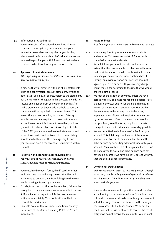# 19.3 Information provided earlier

 You may receive information that we have already provided to you again if you so request and your request is reasonable. We may charge you for this, which we will inform you about beforehand. We are not required to provide you with information that we have provided earlier if we have a good reason for this.

# **20 Approval of bank statements**

 *After a period of 13 months, our statements are deemed to have been approved by you.*

 It may be that you disagree with one of our statements (such as a confirmation, account statement, invoice or other data). You may, of course, object to the statement, but there are rules that govern this process. If we do not receive an objection from you within 13 months after such a statement has been made available to you, the statement will be regarded as approved by you. This means that you are bound by its content. After 13 months, we are only required to correct arithmetical errors. Please note: this does not mean that you have 13 months to raise an objection. According to Article 19 of the GBC, you are required to check statements and report inaccuracies and omissions to us immediately. Should you fail to do so, then damage may be for your account, even if the objection is submitted within 13 months.

# **21 Retention and confidentiality requirements**  *You must take due care with codes, forms and cards. Suspected misuse must be reported immediately.*

21.1 You must handle codes, forms, (bank) cards or other tools with due care and adequate security. This will enable you to prevent them from falling into the wrong hands or being misused by someone.

21.2 A code, form, card or other tool may in fact, fall into the wrong hands, or someone may or may be able to misuse it. If you know or suspect such is the case, you must notify us immediately. Your notification will help us to prevent (further) misuse.

21.3 Take into account that we impose additional security rules (such as the Uniform Security Rules for Private Individuals).

#### **22 Rates and fees**

 *Fees for our products and services and changes to our rates.*

- 22.1 You are required to pay us a fee for our products and services. This fee may consist of, for example, commission, interest and costs.
- 22.2 We will inform you about our rates and fees to the extent that this is reasonably possible. We will ensure that this information is made readily available to you, for example, on our website or in our branches. If, through an obvious error on our part, we have not agreed upon a fee or rate with you, we may charge you at most a fee according to the rate that we would charge in similar cases.
- 22.3 We may change a rate at any time, unless we have agreed with you on a fixed fee for a fixed period. Rate changes may occur due to, for example, changes in market circumstances, changes in your risk profile, developments in the money or capital market, implementation of laws and regulations or measures by our supervisors. If we change our rates based on this provision, we will inform you prior to the rate change to the extent that such is reasonably possible.
- 22.4 We are permitted to debit our service fee from your account. This debit may result in a debit balance on your account. You must then immediately clear the debit balance by depositing additional funds into your account. You must take care of this yourself, even if we do not ask you to do so. The debit balance does not have to be cleared if we have explicitly agreed with you that the debit balance is permitted.

# **23 Conditional credit entries**

 *In the event that you expect to receive a payment through us, we may then be willing to provide you with an advance on this payment. This will be reversed if something goes wrong with this payment.*

 If we receive an amount for you, then you will receive a credit entry for this amount with us. Sometimes, we will credit the amount already even though we have not yet (definitively) received the amount. In this way, you can enjoy access to the funds sooner. We do set the condition that we will be allowed to reverse the credit entry if we do not receive the amount for you or must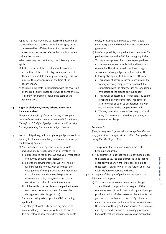repay it. Thus we may have to reverse the payment of a cheque because it turned out to be a forgery or not to be covered by sufficient funds. If it concerns the payment of a cheque, we refer to this condition when making the payment.

 When reversing the credit entry, the following rules apply:

- a) If the currency of the credit amount was converted at the time of the credit entry, we may reconvert the currency back to the original currency. This takes place at the exchange rate at the time of the reconversion.
- b) We may incur costs in connection with the reversion of the credit entry. These costs will be borne by you. This may, for example, include the costs of the reconversion.

# **24 Right of pledge on, among others, your credit balances with us**

 *You grant us a right of pledge on, among others, your credit balances with us and securities in which you invest through us. This right of pledge provides us with security for the payment of the amounts that you owe us.* 

- 24.1 You are obliged to grant us a right of pledge on assets as security for the amounts that you owe us. In this regard, the following applies:
	- a) You undertake to pledge the following assets, including ancillary rights (such as interest), to us:
		- i. all (cash) receivables that we owe you (irrespective of how you acquire that receivable)
		- ii. all of the following insofar as we (will) hold or (will) manage it for you, with or without the engagement of third parties and whether or not in a collective deposit: moveable properties, documents of title, coins, banknotes, shares, securities and other financial instruments
		- iii. all that (will) take the place of the pledged assets (such as an insurance payment for loss of or damage to assets pledged to us).

 This undertaking arises upon the GBC becoming applicable.

b) The pledge of assets is to secure payment of all amounts that you owe us or will come to owe to us. It is not relevant how these debts arise. The debts

could, for example, arise due to a loan, credit (overdraft), joint and several liability, suretyship or guarantee.

- c) Insofar as possible, you pledge the assets to us. This pledge arises upon the GBC becoming applicable.
- d) You grant us a power of attorney to pledge these assets to ourselves on your behalf and to do this repeatedly. Therefore, you do not have to sign separate deeds of pledge on each occasion. The following also applies to this power of attorney:
	- i. This power of attorney furthermore implies that we may do everything necessary or useful in connection with the pledge, such as, for example, give notice of the pledge on your behalf.
	- ii. This power of attorney is irrevocable. You cannot revoke this power of attorney. This power of attorney ends as soon as our relationship with you has ended and is completely settled.
	- iii. We may grant this power of attorney to a third party. This means that the third party may also execute the pledge.

# *For example:*

 *If we form a group together with other legal entities, we may, for instance, delegate the execution of the pledge to one of the other legal entities.*

 This power of attorney arises upon the GBC becoming applicable.

- e) You guarantee to us that you are entitled to pledge the assets to us. You also guarantee to us that no other party has any right (of pledge) or claim to these assets, either now or in the future, unless we explicitly agree otherwise with you.
- 24.2 In respect of the right of pledge on the assets, the following also applies:
	- a) You can ask us to release one or more pledged assets. We will comply with this request if the remaining assets to which we retain rights of pledge provide us with sufficient cover for the amounts that you owe us or will come to owe us. By release, we mean that you may use the assets for transactions in the context of the agreed upon services (for example, use of your credit balances for making payments). For assets that we keep for you, release means that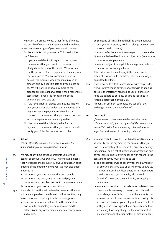we return the assets to you. Other forms of release are possible if we explicitly agree upon this with you.

- b) We may use our right of pledge to obtain payment for the amounts that you owe us. This also implies the following:
	- i. If you are in default with regard to the payment of the amounts that you owe to us, we may sell the pledged assets or have them sold. We may then use the proceeds for the payment of the amounts that you owe us. You are considered to be in default, for example, when you must pay us an amount due by a specific date and you do not do so. We will not sell or have any more of the pledged assets sold than, according to a reasonable assessment, is required for payment of the amounts that you owe us.
	- ii. If we have a right of pledge on amounts that we owe you, we may also collect these amounts. We may then use the payment received for the payment of the amounts that you owe us, as soon as those payments are due and payable.
	- iii. If we have used the right of pledge for the payment of the amounts that you owe us, we will notify you of this fact as soon as possible.

# **25 Set-off**

 *We can offset the amounts that we owe you and the amounts that you owe us against one another.*

- 25.1 We may at any time offset all amounts you owe us against all amounts we owe you. This offsetting means that we 'cancel' the amount you owe us against an equal amount of the amount we owe you. We may also offset amounts if:
	- a) the amount you owe us is not due and payable
	- b) the amount we owe you is not due and payable
	- c) the amounts to be offset are not in the same currency d) the amount you owe us is conditional.
- 25.2 If we wish to use this article to offset amounts that are not due and payable, there is a restriction. We then only make use of our set-off right in the following cases:
	- a) Someone levies an attachment on the amount we owe you (for example, your bank account credit balance) or in any other manner seeks recovery from such claim.
- b) Someone obtains a limited right to the amount we owe you (for instance, a right of pledge on your bank account credit balance).
- c) You transfer the amount we owe you to someone else.
- d) You are declared bankrupt or subject to a (temporary) moratorium of payments.
- e) You are subject to a legal debt management scheme or another insolvency scheme.

 This restriction does not apply if the claims are in different currencies. In the latter case, we are always permitted to offset.

- 25.3 If we proceed to offset in accordance with this article, we will inform you in advance or otherwise as soon as possible thereafter. When making use of our set-off right, we adhere to our duty of care as specified in Article 2 paragraph 1 of the GBC.
- 25.4 Amounts in different currencies are set off at the exchange rate on the date of set-off.

#### **26 Collateral**

 *If we so request, you are required to provide us with collateral as security for the payment of the amounts you owe us This article lists a number of rules that may be important with respect to providing collateral.*

- 26.1 You undertake to provide us with (additional) collateral as security for the payment of the amounts that you owe us immediately at our request. This collateral may, for example, be a right of pledge or a mortgage on one of your assets. The following applies with regard to the collateral that you must provide to us:
	- a) This collateral serves as security for the payment of all amounts that you owe us or will come to owe us. It is not relevant how these debts arise. These debts could arise due to, for example, a loan, credit (overdraft), joint and several liability, suretyship or guarantee.
	- b) You are not required to provide more collateral than is reasonably necessary. However, the collateral must always be sufficient to cover the amounts that you owe us or will come to owe us. In assessing this, we take into account your risk profile, our credit risk with you, the (coverage) value of any collateral that we already have, any change in the assessment of such factors, and all other factors or circumstances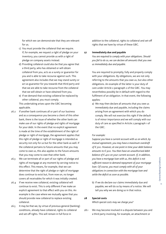for which we can demonstrate that they are relevant for us.

- c) You must provide the collateral that we require. If, for example, we request a right of pledge on your inventory, you cannot provide us with a right of pledge on company assets instead.
- d) Providing collateral could also be that you agree that a third party, who has obtained or will obtain collateral from you, acts as a surety or guarantor for you and is able to take recourse against such. This agreement also includes that we may stand surety or act as guarantor for you towards that third party and that we are able to take recourse from the collateral that we will obtain or have obtained from you.
- e) If we demand that existing collateral be replaced by other collateral, you must comply.

 This undertaking arises upon the GBC becoming applicable.

- 26.2 If another bank continues all or part of our business and as a consequence you become a client of this other bank, there is the issue of whether the other bank can make use of our rights of pledge and rights of mortgage for your debt. In the event that no explicit agreement is made at the time of the establishment of the right of pledge or right of mortgage, the agreement applies that this right of pledge or right of mortgage is intended as security not only for us but for the other bank as well. If the collateral pertains to future amounts that you may come to owe us, this also applies to the future amounts that you may come to owe that other bank.
- 26.3 We can terminate all or part of our rights of pledge and rights of mortgage at any moment by serving notice to this effect. This means, for example, that we can determine that the right of pledge or right of mortgage does continue to exist but, from now on, no longer covers all receivables for which it was initially created.
- 26.4 If we receive new collateral, existing collateral will continue to exist. This is only different if we make an explicit agreement to that effect with you on this. An example is the case where we mutually agree that you should provide new collateral to replace existing collateral.
- 26.5 It may be that we, by virtue of previous general (banking) conditions, already have collateral, rights to collateral and set-off rights. This will remain in full force in

addition to the collateral, rights to collateral and set-off rights that we have by virtue of these GBC.

#### **27 Immediately due and payable**

 *You are required to comply with your obligations. Should you fail to do so, we can declare all amounts that you owe us immediately due and payable.* 

 You are required to promptly, fully and properly comply with your obligations. By obligations, we are not only referring to the amounts that you owe us, but also other obligations. An example of the latter is your duty of care under Article 2 paragraph 2 of the GBC. You may nevertheless possibly be in default with regard to the fulfilment of an obligation. In that event, the following applies:

a) We may then declare all amounts that you owe us immediately due and payable, including the claims arising from an agreement with which you do comply. We will not exercise this right if the default is of minor importance and we will comply with our duty of care as specified in Article 2 paragraph 1 of the GBC.

# *For example:*

 *Suppose you have a current account with us on which, by mutual agreement, you may have a maximum overdraft of € 500. However, at one point in time your debit balance amounts to € 900. You then have an unauthorised debit balance of € 400 on your current account. If, in addition, you have a mortgage loan with us, this deficit is not sufficient reason to demand repayment of your mortgage loan. Of course, you must comply with all of your obligations in connection with the mortgage loan and settle the deficit as soon as possible.*

b) If we do declare our claims immediately due and payable, we will do so by means of a notice. We will tell you why we are doing so in that notice.

#### **28 Special costs**

 *Which special costs may we charge you?*

28.1 We may become involved in a dispute between you and a third party involving, for example, an attachment or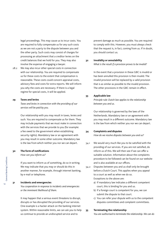legal proceedings. This may cause us to incur costs. You are required to fully compensate us for any such costs as we are not a party to the dispute between you and the other party. Such costs may consist of charges for processing an attachment that a creditor levies on the credit balances that we hold for you. They may also involve the expense of engaging a lawyer.

28.2 We may also incur other special costs in connection with our relationship. You are required to compensate us for these costs to the extent that compensation is reasonable. These costs could concern appraisal costs, advisory fees and costs for extra reports. We will inform you why the costs are necessary. If there is a legal regime for special costs, it will be applied.

#### **29 Taxes and levies**

 *Taxes and levies in connection with the providing of our services will be paid by you.*

 Our relationship with you may result in taxes, levies and such. You are required to compensate us for them. They may include payments that we must make in connection with the services that we provide to you (for example: a fee owed to the government when establishing security rights). Mandatory law or an agreement with you may result in some other outcome. Mandatory law is the law from which neither you nor we can depart.

# **30 The form of notifications**

*How can you inform us?*

 If you want to inform us of something, do so in writing. We may indicate that you may or should do this in another manner, for example, through internet banking, by e-mail or telephone.

#### **31 Incidents and emergencies**

 *You cooperation in response to incidents and emergencies or the imminent likelihood of them.* 

 It may happen that a serious event threatens to disrupt, disrupts or has disrupted the providing of our services. One example is a hacker attack on the banking internet system. Within reasonable limits, we can ask you to help us continue to provide an undisrupted service and to

prevent damage as much as possible. You are required to comply with this. However, you must always check that the request is, in fact, coming from us. If in doubt, you should contact us.

#### **32 Invalidity or annulability**

 *What is the result if a provision proves to be invalid?*

 In the event that a provision in these GBC is invalid or has been annulled this provision is then invalid. The invalid provision will be replaced by a valid provision that is as similar as possible to the invalid provision. The other provisions in the GBC remain in effect.

#### **33 Applicable law**

 *Principle rule: Dutch law applies to the relationship between you and us.*

 Our relationship is governed by the laws of the Netherlands. Mandatory law or an agreement with you may result in a different outcome. Mandatory law is the law from which neither you nor we can depart.

#### **34 Complaints and disputes**

 *How do we resolve disputes between you and us?*

- 34.1 We would very much like you to be satisfied with the providing of our services. If you are not satisfied, do inform us of this. We will then see if we can offer a suitable solution. Information about the complaints procedure to be followed can be found on our website and is also available at our offices.
- 34.2 Disputes between you and us shall only be brought before a Dutch Court. This applies when you appeal to a court as well as when we do so. Exceptions to the above are:
	- a) If mandatory law indicates a different competent court, this is binding for you and us.
	- b) If a foreign court is competent for you, we can submit the dispute to that court.
	- c) You can refer your dispute with us to the competent disputes committees and complaint committees.

#### **35 Terminating the relationship**

 *You are authorised to terminate the relationship. We can do*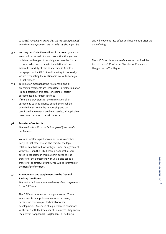*so as well. Termination means that the relationship is ended and all current agreements are settled as quickly as possible.*

- 35.1 You may terminate the relationship between you and us. We can do so as well. It is not a condition that you are in default with regard to an obligation in order for this to occur. When we terminate the relationship, we adhere to our duty of care as specified in Article 2 paragraph 1 of the GBC. Should you inquire as to why we are terminating the relationship, we will inform you in that respect.
- 35.2 Termination means that the relationship and all on-going agreements are terminated. Partial termination is also possible. In this case, for example, certain agreements may remain in effect.
- 35.3 If there are provisions for the termination of an agreement, such as a notice period, they shall be complied with. While the relationship and the terminated agreements are being settled, all applicable provisions continue to remain in force.

# **36 Transfer of contracts**

 *Your contracts with us can be transferred if we transfer our business.*

 We can transfer (a part of) our business to another party. In that case, we can also transfer the legal relationship that we have with you under an agreement with you. Upon the GBC becoming applicable, you agree to cooperate in this matter in advance. The transfer of the agreement with you is also called a transfer of contract. Naturally, you will be informed of the transfer of contract.

**37 Amendments and supplements to the General Banking Conditions**

> *This article indicates how amendments of and supplements to the GBC occur.*

> The GBC can be amended or supplemented. Those amendments or supplements may be necessary because of, for example, technical or other developments. Amended of supplemented conditions will be filed with the Chamber of Commerce Haaglanden (Kamer van Koophandel Haaglanden) in The Hague

and will not come into effect until two months after the date of filing.

 The N.V. Bank Nederlandse Gemeenten has filed the text of these GBC with the Chamber of Commerce Haaglanden in The Hague.